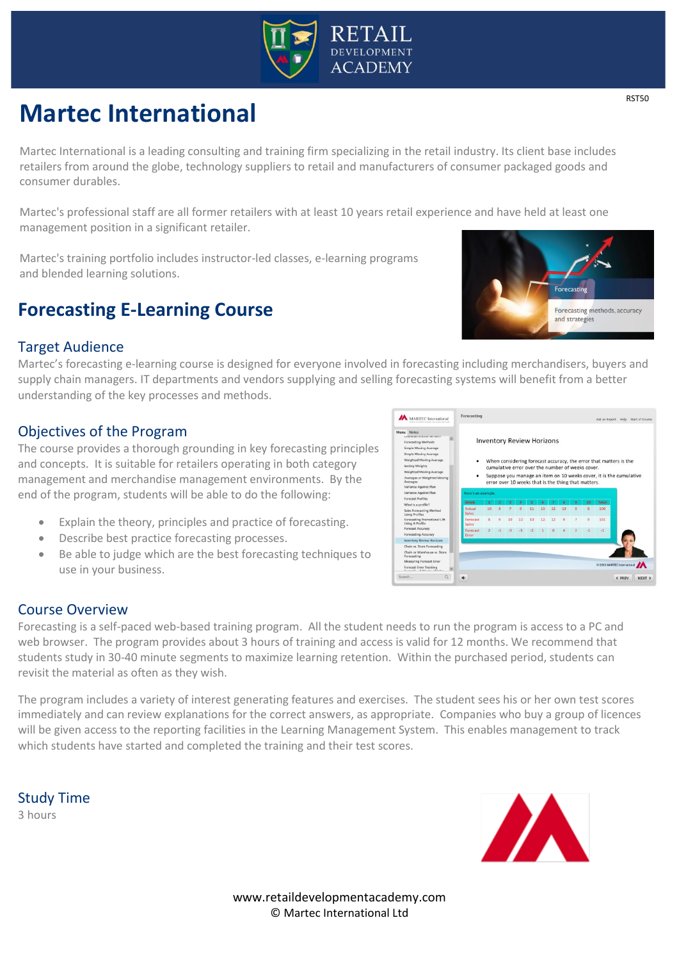

# **Martec International**

Martec International is a leading consulting and training firm specializing in the retail industry. Its client base includes retailers from around the globe, technology suppliers to retail and manufacturers of consumer packaged goods and consumer durables.

Martec's professional staff are all former retailers with at least 10 years retail experience and have held at least one management position in a significant retailer.

Martec's training portfolio includes instructor-led classes, e-learning programs and blended learning solutions.

# **Forecasting E-Learning Course**

### Target Audience

Martec's forecasting e-learning course is designed for everyone involved in forecasting including merchandisers, buyers and supply chain managers. IT departments and vendors supplying and selling forecasting systems will benefit from a better understanding of the key processes and methods.

## Objectives of the Program

The course provides a thorough grounding in key forecasting principles and concepts. It is suitable for retailers operating in both category management and merchandise management environments. By the end of the program, students will be able to do the following:

- Explain the theory, principles and practice of forecasting.
- Describe best practice forecasting processes.
- Be able to judge which are the best forecasting techniques to use in your business.



#### Course Overview

Forecasting is a self-paced web-based training program. All the student needs to run the program is access to a PC and web browser. The program provides about 3 hours of training and access is valid for 12 months. We recommend that students study in 30-40 minute segments to maximize learning retention. Within the purchased period, students can revisit the material as often as they wish.

The program includes a variety of interest generating features and exercises. The student sees his or her own test scores immediately and can review explanations for the correct answers, as appropriate. Companies who buy a group of licences will be given access to the reporting facilities in the Learning Management System. This enables management to track which students have started and completed the training and their test scores.

Study Time 3 hours